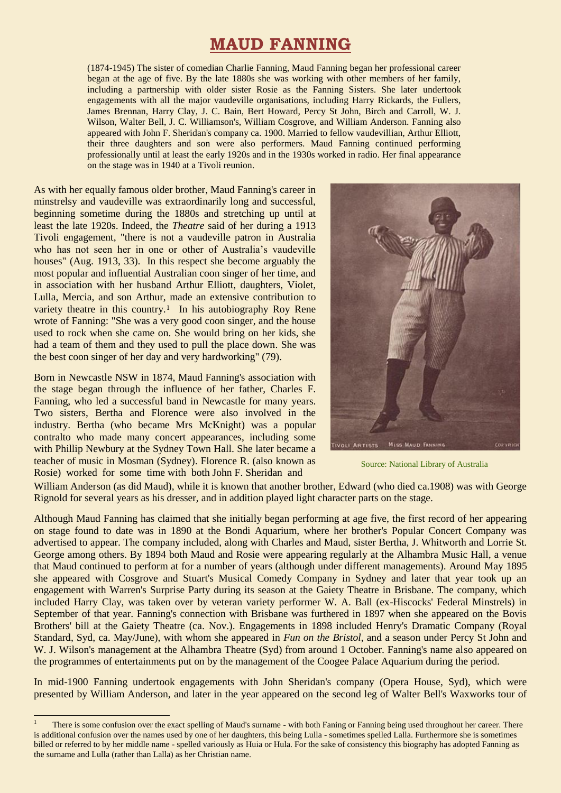# **MAUD FANNING**

(1874-1945) The sister of comedian Charlie Fanning, Maud Fanning began her professional career began at the age of five. By the late 1880s she was working with other members of her family, including a partnership with older sister Rosie as the Fanning Sisters. She later undertook engagements with all the major vaudeville organisations, including Harry Rickards, the Fullers, James Brennan, Harry Clay, J. C. Bain, Bert Howard, Percy St John, Birch and Carroll, W. J. Wilson, Walter Bell, J. C. Williamson's, William Cosgrove, and William Anderson. Fanning also appeared with John F. Sheridan's company ca. 1900. Married to fellow vaudevillian, Arthur Elliott, their three daughters and son were also performers. Maud Fanning continued performing professionally until at least the early 1920s and in the 1930s worked in radio. Her final appearance on the stage was in 1940 at a Tivoli reunion.

As with her equally famous older brother, Maud Fanning's career in minstrelsy and vaudeville was extraordinarily long and successful, beginning sometime during the 1880s and stretching up until at least the late 1920s. Indeed, the *Theatre* said of her during a 1913 Tivoli engagement, "there is not a vaudeville patron in Australia who has not seen her in one or other of Australia's vaudeville houses" (Aug. 1913, 33). In this respect she become arguably the most popular and influential Australian coon singer of her time, and in association with her husband Arthur Elliott, daughters, Violet, Lulla, Mercia, and son Arthur, made an extensive contribution to variety theatre in this country.<sup>1</sup> In his autobiography Roy Rene wrote of Fanning: "She was a very good coon singer, and the house used to rock when she came on. She would bring on her kids, she had a team of them and they used to pull the place down. She was the best coon singer of her day and very hardworking" (79).

Born in Newcastle NSW in 1874, Maud Fanning's association with the stage began through the influence of her father, Charles F. Fanning, who led a successful band in Newcastle for many years. Two sisters, Bertha and Florence were also involved in the industry. Bertha (who became Mrs McKnight) was a popular contralto who made many concert appearances, including some with Phillip Newbury at the Sydney Town Hall. She later became a teacher of music in Mosman (Sydney). Florence R. (also known as Rosie) worked for some time with both John F. Sheridan and

1



Source: National Library of Australia

William Anderson (as did Maud), while it is known that another brother, Edward (who died ca.1908) was with George Rignold for several years as his dresser, and in addition played light character parts on the stage.

Although Maud Fanning has claimed that she initially began performing at age five, the first record of her appearing on stage found to date was in 1890 at the Bondi Aquarium, where her brother's Popular Concert Company was advertised to appear. The company included, along with Charles and Maud, sister Bertha, J. Whitworth and Lorrie St. George among others. By 1894 both Maud and Rosie were appearing regularly at the Alhambra Music Hall, a venue that Maud continued to perform at for a number of years (although under different managements). Around May 1895 she appeared with Cosgrove and Stuart's Musical Comedy Company in Sydney and later that year took up an engagement with Warren's Surprise Party during its season at the Gaiety Theatre in Brisbane. The company, which included Harry Clay, was taken over by veteran variety performer W. A. Ball (ex-Hiscocks' Federal Minstrels) in September of that year. Fanning's connection with Brisbane was furthered in 1897 when she appeared on the Bovis Brothers' bill at the Gaiety Theatre (ca. Nov.). Engagements in 1898 included Henry's Dramatic Company (Royal Standard, Syd, ca. May/June), with whom she appeared in *Fun on the Bristol*, and a season under Percy St John and W. J. Wilson's management at the Alhambra Theatre (Syd) from around 1 October. Fanning's name also appeared on the programmes of entertainments put on by the management of the Coogee Palace Aquarium during the period.

In mid-1900 Fanning undertook engagements with John Sheridan's company (Opera House, Syd), which were presented by William Anderson, and later in the year appeared on the second leg of Walter Bell's Waxworks tour of

<sup>1</sup> There is some confusion over the exact spelling of Maud's surname - with both Faning or Fanning being used throughout her career. There is additional confusion over the names used by one of her daughters, this being Lulla - sometimes spelled Lalla. Furthermore she is sometimes billed or referred to by her middle name - spelled variously as Huia or Hula. For the sake of consistency this biography has adopted Fanning as the surname and Lulla (rather than Lalla) as her Christian name.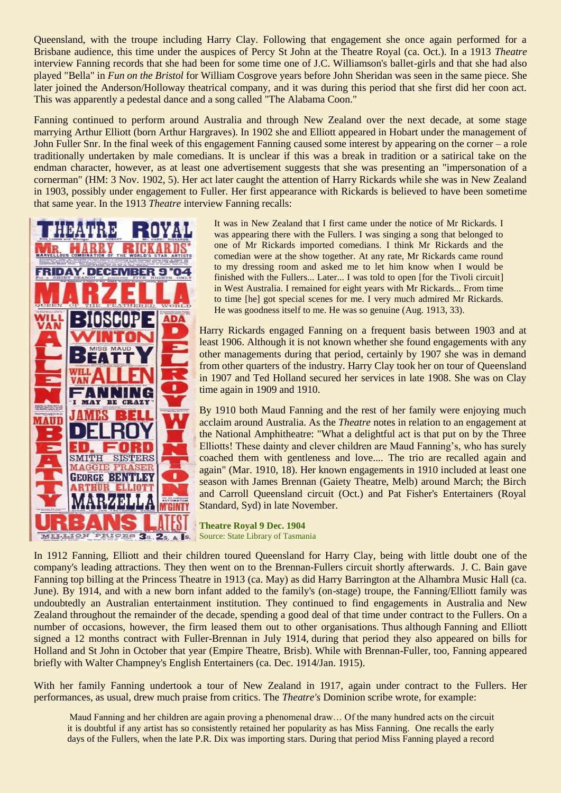Queensland, with the troupe including Harry Clay. Following that engagement she once again performed for a Brisbane audience, this time under the auspices of Percy St John at the Theatre Royal (ca. Oct.). In a 1913 *Theatre* interview Fanning records that she had been for some time one of J.C. Williamson's ballet-girls and that she had also played "Bella" in *Fun on the Bristol* for William Cosgrove years before John Sheridan was seen in the same piece. She later joined the Anderson/Holloway theatrical company, and it was during this period that she first did her coon act. This was apparently a pedestal dance and a song called "The Alabama Coon."

Fanning continued to perform around Australia and through New Zealand over the next decade, at some stage marrying Arthur Elliott (born Arthur Hargraves). In 1902 she and Elliott appeared in Hobart under the management of John Fuller Snr. In the final week of this engagement Fanning caused some interest by appearing on the corner – a role traditionally undertaken by male comedians. It is unclear if this was a break in tradition or a satirical take on the endman character, however, as at least one advertisement suggests that she was presenting an "impersonation of a cornerman" (HM: 3 Nov. 1902, 5). Her act later caught the attention of Harry Rickards while she was in New Zealand in 1903, possibly under engagement to Fuller. Her first appearance with Rickards is believed to have been sometime that same year. In the 1913 *Theatre* interview Fanning recalls:



It was in New Zealand that I first came under the notice of Mr Rickards. I was appearing there with the Fullers. I was singing a song that belonged to one of Mr Rickards imported comedians. I think Mr Rickards and the comedian were at the show together. At any rate, Mr Rickards came round to my dressing room and asked me to let him know when I would be finished with the Fullers... Later... I was told to open [for the Tivoli circuit] in West Australia. I remained for eight years with Mr Rickards... From time to time [he] got special scenes for me. I very much admired Mr Rickards. He was goodness itself to me. He was so genuine (Aug. 1913, 33).

Harry Rickards engaged Fanning on a frequent basis between 1903 and at least 1906. Although it is not known whether she found engagements with any other managements during that period, certainly by 1907 she was in demand from other quarters of the industry. Harry Clay took her on tour of Queensland in 1907 and Ted Holland secured her services in late 1908. She was on Clay time again in 1909 and 1910.

By 1910 both Maud Fanning and the rest of her family were enjoying much acclaim around Australia. As the *Theatre* notes in relation to an engagement at the National Amphitheatre: "What a delightful act is that put on by the Three Elliotts! These dainty and clever children are Maud Fanning's, who has surely coached them with gentleness and love.... The trio are recalled again and again" (Mar. 1910, 18). Her known engagements in 1910 included at least one season with James Brennan (Gaiety Theatre, Melb) around March; the Birch and Carroll Queensland circuit (Oct.) and Pat Fisher's Entertainers (Royal Standard, Syd) in late November.

**Theatre Royal 9 Dec. 1904** Source: State Library of Tasmania

In 1912 Fanning, Elliott and their children toured Queensland for Harry Clay, being with little doubt one of the company's leading attractions. They then went on to the Brennan-Fullers circuit shortly afterwards. J. C. Bain gave Fanning top billing at the Princess Theatre in 1913 (ca. May) as did Harry Barrington at the Alhambra Music Hall (ca. June). By 1914, and with a new born infant added to the family's (on-stage) troupe, the Fanning/Elliott family was undoubtedly an Australian entertainment institution. They continued to find engagements in Australia and New Zealand throughout the remainder of the decade, spending a good deal of that time under contract to the Fullers. On a number of occasions, however, the firm leased them out to other organisations. Thus although Fanning and Elliott signed a 12 months contract with Fuller-Brennan in July 1914, during that period they also appeared on bills for Holland and St John in October that year (Empire Theatre, Brisb). While with Brennan-Fuller, too, Fanning appeared briefly with Walter Champney's English Entertainers (ca. Dec. 1914/Jan. 1915).

With her family Fanning undertook a tour of New Zealand in 1917, again under contract to the Fullers. Her performances, as usual, drew much praise from critics. The *Theatre's* Dominion scribe wrote, for example:

Maud Fanning and her children are again proving a phenomenal draw… Of the many hundred acts on the circuit it is doubtful if any artist has so consistently retained her popularity as has Miss Fanning. One recalls the early days of the Fullers, when the late P.R. Dix was importing stars. During that period Miss Fanning played a record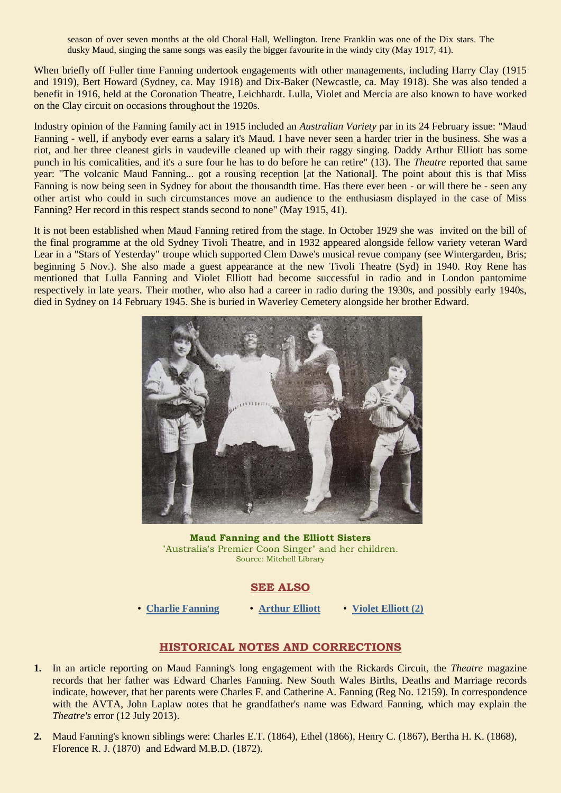season of over seven months at the old Choral Hall, Wellington. Irene Franklin was one of the Dix stars. The dusky Maud, singing the same songs was easily the bigger favourite in the windy city (May 1917, 41).

When briefly off Fuller time Fanning undertook engagements with other managements, including Harry Clay (1915 and 1919), Bert Howard (Sydney, ca. May 1918) and Dix-Baker (Newcastle, ca. May 1918). She was also tended a benefit in 1916, held at the Coronation Theatre, Leichhardt. Lulla, Violet and Mercia are also known to have worked on the Clay circuit on occasions throughout the 1920s.

Industry opinion of the Fanning family act in 1915 included an *Australian Variety* par in its 24 February issue: "Maud Fanning - well, if anybody ever earns a salary it's Maud. I have never seen a harder trier in the business. She was a riot, and her three cleanest girls in vaudeville cleaned up with their raggy singing. Daddy Arthur Elliott has some punch in his comicalities, and it's a sure four he has to do before he can retire" (13). The *Theatre* reported that same year: "The volcanic Maud Fanning... got a rousing reception [at the National]. The point about this is that Miss Fanning is now being seen in Sydney for about the thousandth time. Has there ever been - or will there be - seen any other artist who could in such circumstances move an audience to the enthusiasm displayed in the case of Miss Fanning? Her record in this respect stands second to none" (May 1915, 41).

It is not been established when Maud Fanning retired from the stage. In October 1929 she was invited on the bill of the final programme at the old Sydney Tivoli Theatre, and in 1932 appeared alongside fellow variety veteran Ward Lear in a "Stars of Yesterday" troupe which supported Clem Dawe's musical revue company (see Wintergarden, Bris; beginning 5 Nov.). She also made a guest appearance at the new Tivoli Theatre (Syd) in 1940. Roy Rene has mentioned that Lulla Fanning and Violet Elliott had become successful in radio and in London pantomime respectively in late years. Their mother, who also had a career in radio during the 1930s, and possibly early 1940s, died in Sydney on 14 February 1945. She is buried in Waverley Cemetery alongside her brother Edward.



**Maud Fanning and the Elliott Sisters** "Australia's Premier Coon Singer" and her children. Source: Mitchell Library

### **SEE ALSO**

• **[Charlie Fanning](http://ozvta.com/practitioners-f/)** • **[Arthur Elliott](http://ozvta.com/practitioners-e/)** • **Violet [Elliott \(2\)](http://ozvta.com/practitioners-e/)**

# **HISTORICAL NOTES AND CORRECTIONS**

- **1.** In an article reporting on Maud Fanning's long engagement with the Rickards Circuit, the *Theatre* magazine records that her father was Edward Charles Fanning. New South Wales Births, Deaths and Marriage records indicate, however, that her parents were Charles F. and Catherine A. Fanning (Reg No. 12159). In correspondence with the AVTA, John Laplaw notes that he grandfather's name was Edward Fanning, which may explain the *Theatre's* error (12 July 2013).
- **2.** Maud Fanning's known siblings were: Charles E.T. (1864), Ethel (1866), Henry C. (1867), Bertha H. K. (1868), Florence R. J. (1870) and Edward M.B.D. (1872).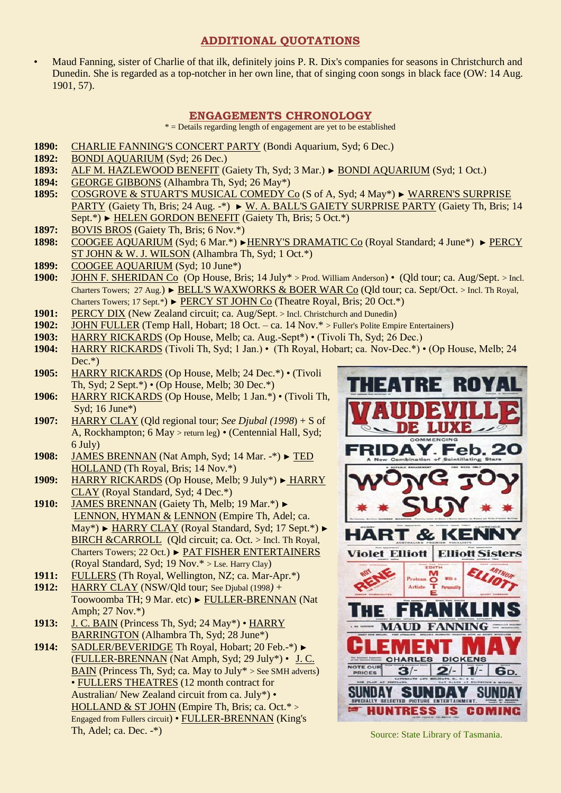## **ADDITIONAL QUOTATIONS**

• Maud Fanning, sister of Charlie of that ilk, definitely joins P. R. Dix's companies for seasons in Christchurch and Dunedin. She is regarded as a top-notcher in her own line, that of singing coon songs in black face (OW: 14 Aug. 1901, 57).

### **ENGAGEMENTS CHRONOLOGY**

 $*$  = Details regarding length of engagement are yet to be established

- **1890:** CHARLIE FANNING'S CONCERT PARTY (Bondi Aquarium, Syd; 6 Dec.)
- **1892:** BONDI AQUARIUM (Syd; 26 Dec.)
- **1893:** ALF M. HAZLEWOOD BENEFIT (Gaiety Th, Syd; 3 Mar.) ► BONDI AQUARIUM (Syd; 1 Oct.)
- **1894:** GEORGE GIBBONS (Alhambra Th, Syd; 26 May\*)
- **1895:** COSGROVE & STUART'S MUSICAL COMEDY Co (S of A, Syd; 4 May\*) ► WARREN'S SURPRISE PARTY (Gaiety Th, Bris; 24 Aug. -\*) ► W. A. BALL'S GAIETY SURPRISE PARTY (Gaiety Th, Bris; 14 Sept.\*) ► HELEN GORDON BENEFIT (Gaiety Th, Bris; 5 Oct.\*)
- **1897:** BOVIS BROS (Gaiety Th, Bris; 6 Nov.\*)
- **1898:** COOGEE AQUARIUM (Syd; 6 Mar.\*) ►HENRY'S DRAMATIC Co (Royal Standard; 4 June\*) ► PERCY ST JOHN & W. J. WILSON (Alhambra Th, Syd; 1 Oct.\*)
- **1899:** COOGEE AQUARIUM (Syd; 10 June\*)
- **1900:** JOHN F. SHERIDAN Co (Op House, Bris; 14 July\* > Prod. William Anderson) (Qld tour; ca. Aug/Sept. > Incl. Charters Towers; 27 Aug.) ► BELL'S WAXWORKS & BOER WAR Co (Qld tour; ca. Sept/Oct. > Incl. Th Royal, Charters Towers; 17 Sept.\*) ► PERCY ST JOHN Co (Theatre Royal, Bris; 20 Oct.\*)
- 1901: PERCY DIX (New Zealand circuit; ca. Aug/Sept. > Incl. Christchurch and Dunedin)
- **1902:** JOHN FULLER (Temp Hall, Hobart; 18 Oct. ca. 14 Nov.\* > Fuller's Polite Empire Entertainers)
- **1903:** HARRY RICKARDS (Op House, Melb; ca. Aug.-Sept\*) (Tivoli Th, Syd; 26 Dec.)
- **1904:** HARRY RICKARDS (Tivoli Th, Syd; 1 Jan.) (Th Royal, Hobart; ca. Nov-Dec.\*) (Op House, Melb; 24  $Dec.*)$
- **1905:** HARRY RICKARDS (Op House, Melb; 24 Dec.\*) (Tivoli Th, Syd; 2 Sept.\*) • (Op House, Melb; 30 Dec.\*)
- **1906:** HARRY RICKARDS (Op House, Melb; 1 Jan.\*) (Tivoli Th, Syd; 16 June\*)
- **1907:** HARRY CLAY (Qld regional tour; *See Djubal (1998*) + S of A, Rockhampton; 6 May > return leg) • (Centennial Hall, Syd; 6 July)
- **1908:** JAMES BRENNAN (Nat Amph, Syd; 14 Mar. -\*) ► TED HOLLAND (Th Royal, Bris; 14 Nov.\*)
- **1909:** HARRY RICKARDS (Op House, Melb; 9 July\*) ► HARRY CLAY (Royal Standard, Syd; 4 Dec.\*)
- **1910:** JAMES BRENNAN (Gaiety Th, Melb; 19 Mar.\*) ► LENNON, HYMAN & LENNON (Empire Th, Adel; ca. May\*) ► HARRY CLAY (Royal Standard, Syd; 17 Sept.\*) ► BIRCH &CARROLL (Qld circuit; ca. Oct. > Incl. Th Royal, Charters Towers; 22 Oct*.*) ► PAT FISHER ENTERTAINERS (Royal Standard, Syd; 19 Nov.\* > Lse. Harry Clay)
- **1911:** FULLERS (Th Royal, Wellington, NZ; ca. Mar-Apr.\*)
- **1912:** HARRY CLAY (NSW/Qld tour; See Djubal (1998*)* + Toowoomba TH; 9 Mar. etc) ► FULLER-BRENNAN (Nat Amph; 27 Nov.\*)
- **1913:** J. C. BAIN (Princess Th, Syd; 24 May\*) HARRY BARRINGTON (Alhambra Th, Syd; 28 June\*)
- **1914:** SADLER/BEVERIDGE Th Royal, Hobart; 20 Feb.-\*) ► (FULLER-BRENNAN (Nat Amph, Syd; 29 July\*) • J. C. BAIN (Princess Th, Syd; ca. May to July $*$  > See SMH adverts) • FULLERS THEATRES (12 month contract for Australian/ New Zealand circuit from ca. July\*) • HOLLAND & ST JOHN (Empire Th, Bris; ca. Oct.\* > Engaged from Fullers circuit) • FULLER-BRENNAN (King's Th, Adel; ca. Dec. -\*)



Source: State Library of Tasmania.